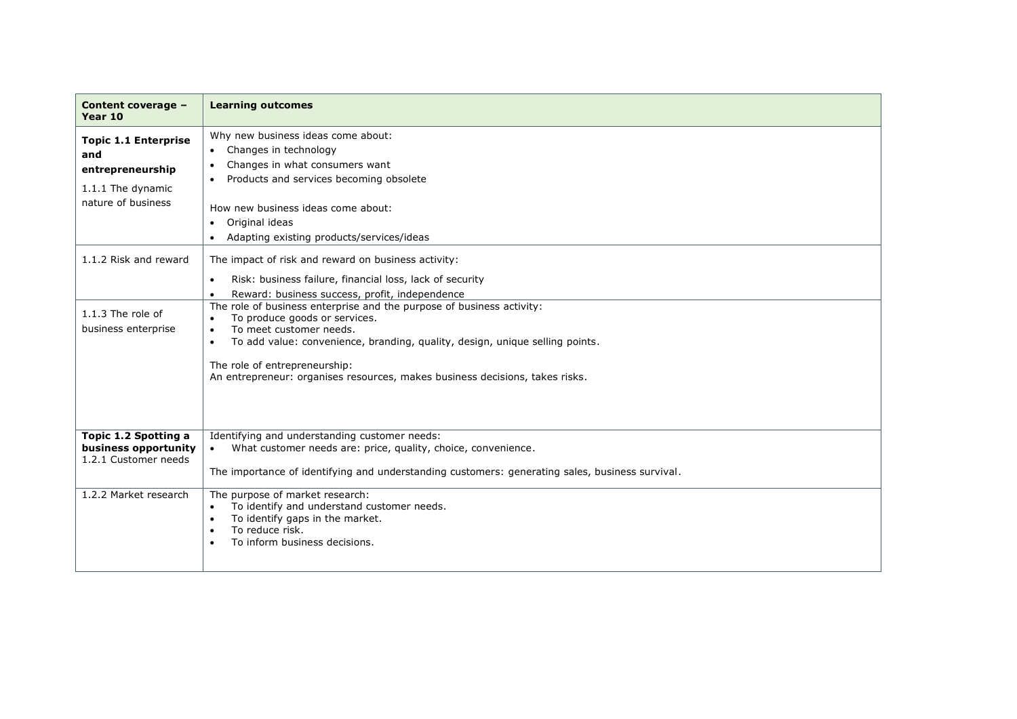| Content coverage -<br>Year 10                                                                     | <b>Learning outcomes</b>                                                                                                                                                                                                                                                                                                                        |
|---------------------------------------------------------------------------------------------------|-------------------------------------------------------------------------------------------------------------------------------------------------------------------------------------------------------------------------------------------------------------------------------------------------------------------------------------------------|
| <b>Topic 1.1 Enterprise</b><br>and<br>entrepreneurship<br>1.1.1 The dynamic<br>nature of business | Why new business ideas come about:<br>Changes in technology<br>Changes in what consumers want<br>$\bullet$<br>Products and services becoming obsolete<br>How new business ideas come about:<br>Original ideas<br>$\bullet$<br>Adapting existing products/services/ideas                                                                         |
| 1.1.2 Risk and reward                                                                             | The impact of risk and reward on business activity:<br>Risk: business failure, financial loss, lack of security<br>$\bullet$<br>Reward: business success, profit, independence                                                                                                                                                                  |
| $1.1.3$ The role of<br>business enterprise                                                        | The role of business enterprise and the purpose of business activity:<br>To produce goods or services.<br>$\bullet$<br>To meet customer needs.<br>To add value: convenience, branding, quality, design, unique selling points.<br>The role of entrepreneurship:<br>An entrepreneur: organises resources, makes business decisions, takes risks. |
| Topic 1.2 Spotting a<br>business opportunity<br>1.2.1 Customer needs                              | Identifying and understanding customer needs:<br>What customer needs are: price, quality, choice, convenience.<br>$\bullet$<br>The importance of identifying and understanding customers: generating sales, business survival.                                                                                                                  |
| 1.2.2 Market research                                                                             | The purpose of market research:<br>To identify and understand customer needs.<br>$\bullet$<br>To identify gaps in the market.<br>$\bullet$<br>To reduce risk.<br>$\bullet$<br>To inform business decisions.                                                                                                                                     |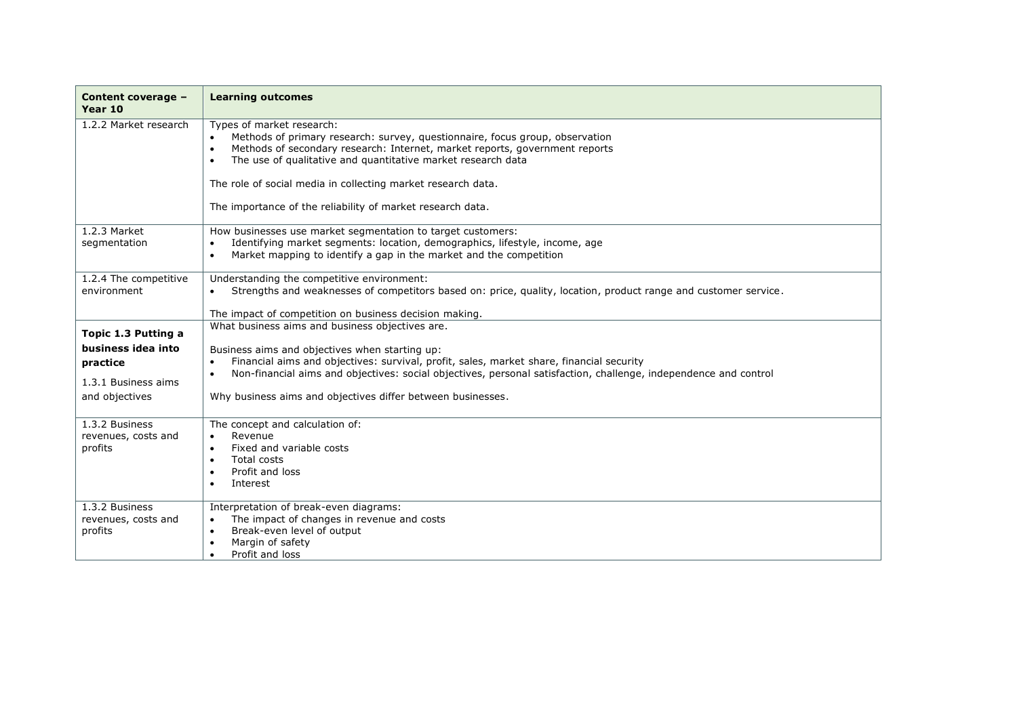| Content coverage -<br>Year 10                                           | <b>Learning outcomes</b>                                                                                                                                                                                                                                                                                                                                                                                         |
|-------------------------------------------------------------------------|------------------------------------------------------------------------------------------------------------------------------------------------------------------------------------------------------------------------------------------------------------------------------------------------------------------------------------------------------------------------------------------------------------------|
| 1.2.2 Market research                                                   | Types of market research:<br>Methods of primary research: survey, questionnaire, focus group, observation<br>Methods of secondary research: Internet, market reports, government reports<br>$\bullet$<br>The use of qualitative and quantitative market research data<br>$\bullet$<br>The role of social media in collecting market research data.<br>The importance of the reliability of market research data. |
| 1.2.3 Market<br>segmentation                                            | How businesses use market segmentation to target customers:<br>Identifying market segments: location, demographics, lifestyle, income, age<br>$\bullet$<br>Market mapping to identify a gap in the market and the competition<br>$\bullet$                                                                                                                                                                       |
| 1.2.4 The competitive<br>environment                                    | Understanding the competitive environment:<br>Strengths and weaknesses of competitors based on: price, quality, location, product range and customer service.<br>The impact of competition on business decision making.                                                                                                                                                                                          |
| Topic 1.3 Putting a                                                     | What business aims and business objectives are.                                                                                                                                                                                                                                                                                                                                                                  |
| business idea into<br>practice<br>1.3.1 Business aims<br>and objectives | Business aims and objectives when starting up:<br>Financial aims and objectives: survival, profit, sales, market share, financial security<br>$\bullet$<br>Non-financial aims and objectives: social objectives, personal satisfaction, challenge, independence and control<br>$\bullet$<br>Why business aims and objectives differ between businesses.                                                          |
| 1.3.2 Business<br>revenues, costs and<br>profits                        | The concept and calculation of:<br>Revenue<br>$\bullet$<br>Fixed and variable costs<br>Total costs<br>$\bullet$<br>Profit and loss<br>Interest                                                                                                                                                                                                                                                                   |
| 1.3.2 Business<br>revenues, costs and<br>profits                        | Interpretation of break-even diagrams:<br>The impact of changes in revenue and costs<br>$\bullet$<br>Break-even level of output<br>$\bullet$<br>Margin of safety<br>$\bullet$<br>Profit and loss<br>$\bullet$                                                                                                                                                                                                    |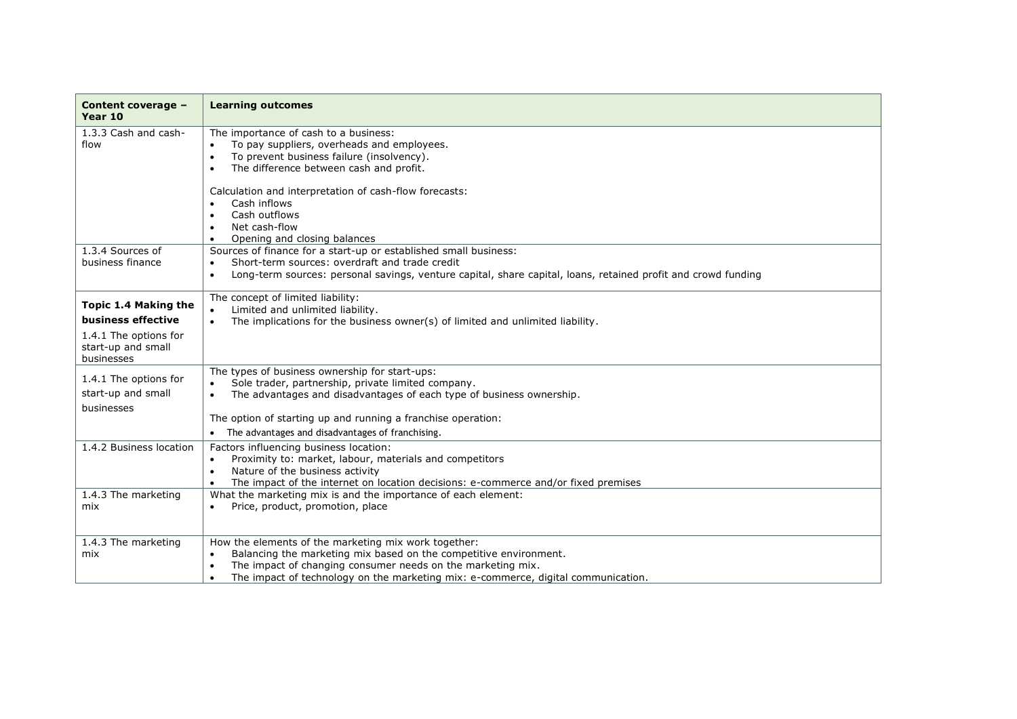| Content coverage -<br>Year 10                                                                           | <b>Learning outcomes</b>                                                                                                                                                                                                                                                                                                   |
|---------------------------------------------------------------------------------------------------------|----------------------------------------------------------------------------------------------------------------------------------------------------------------------------------------------------------------------------------------------------------------------------------------------------------------------------|
| 1.3.3 Cash and cash-<br>flow                                                                            | The importance of cash to a business:<br>To pay suppliers, overheads and employees.<br>To prevent business failure (insolvency).<br>$\bullet$<br>The difference between cash and profit.<br>$\bullet$<br>Calculation and interpretation of cash-flow forecasts:                                                            |
|                                                                                                         | Cash inflows<br>$\bullet$<br>Cash outflows<br>$\bullet$<br>Net cash-flow<br>$\bullet$<br>Opening and closing balances<br>$\bullet$                                                                                                                                                                                         |
| 1.3.4 Sources of<br>business finance                                                                    | Sources of finance for a start-up or established small business:<br>Short-term sources: overdraft and trade credit<br>$\bullet$<br>Long-term sources: personal savings, venture capital, share capital, loans, retained profit and crowd funding<br>$\bullet$                                                              |
| Topic 1.4 Making the<br>business effective<br>1.4.1 The options for<br>start-up and small<br>businesses | The concept of limited liability:<br>Limited and unlimited liability.<br>$\bullet$<br>The implications for the business owner(s) of limited and unlimited liability.<br>$\bullet$                                                                                                                                          |
| 1.4.1 The options for<br>start-up and small<br>businesses                                               | The types of business ownership for start-ups:<br>Sole trader, partnership, private limited company.<br>$\bullet$<br>The advantages and disadvantages of each type of business ownership.<br>$\bullet$<br>The option of starting up and running a franchise operation:<br>The advantages and disadvantages of franchising. |
| 1.4.2 Business location                                                                                 | Factors influencing business location:<br>Proximity to: market, labour, materials and competitors<br>$\bullet$<br>Nature of the business activity<br>$\bullet$<br>The impact of the internet on location decisions: e-commerce and/or fixed premises<br>$\bullet$                                                          |
| 1.4.3 The marketing<br>mix                                                                              | What the marketing mix is and the importance of each element:<br>Price, product, promotion, place<br>$\bullet$                                                                                                                                                                                                             |
| 1.4.3 The marketing<br>mix                                                                              | How the elements of the marketing mix work together:<br>Balancing the marketing mix based on the competitive environment.<br>$\bullet$<br>The impact of changing consumer needs on the marketing mix.<br>$\bullet$<br>The impact of technology on the marketing mix: e-commerce, digital communication.<br>$\bullet$       |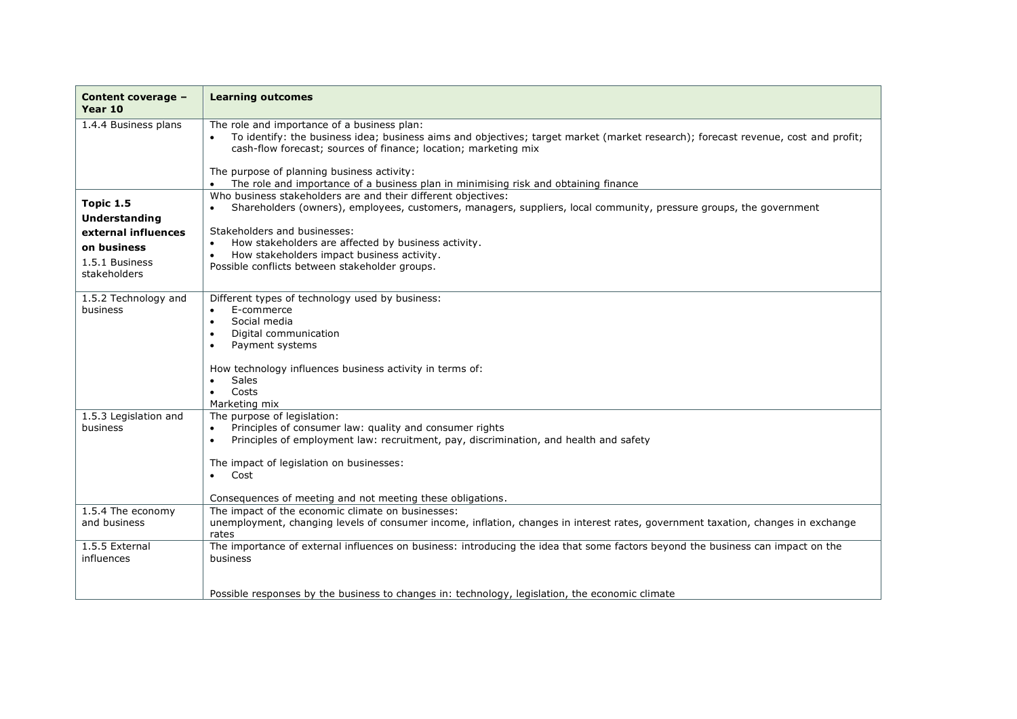| Content coverage -<br>Year 10      | <b>Learning outcomes</b>                                                                                                                                                                                                                                                   |
|------------------------------------|----------------------------------------------------------------------------------------------------------------------------------------------------------------------------------------------------------------------------------------------------------------------------|
| 1.4.4 Business plans               | The role and importance of a business plan:<br>To identify: the business idea; business aims and objectives; target market (market research); forecast revenue, cost and profit;<br>cash-flow forecast; sources of finance; location; marketing mix                        |
|                                    | The purpose of planning business activity:<br>The role and importance of a business plan in minimising risk and obtaining finance                                                                                                                                          |
| Topic 1.5<br>Understanding         | Who business stakeholders are and their different objectives:<br>Shareholders (owners), employees, customers, managers, suppliers, local community, pressure groups, the government<br>$\bullet$                                                                           |
| external influences<br>on business | Stakeholders and businesses:<br>How stakeholders are affected by business activity.<br>How stakeholders impact business activity.                                                                                                                                          |
| 1.5.1 Business<br>stakeholders     | Possible conflicts between stakeholder groups.                                                                                                                                                                                                                             |
| 1.5.2 Technology and<br>business   | Different types of technology used by business:<br>E-commerce<br>Social media<br>$\bullet$<br>Digital communication<br>Payment systems                                                                                                                                     |
|                                    | How technology influences business activity in terms of:<br><b>Sales</b><br>Costs<br>Marketing mix                                                                                                                                                                         |
| 1.5.3 Legislation and<br>business  | The purpose of legislation:<br>Principles of consumer law: quality and consumer rights<br>$\bullet$<br>Principles of employment law: recruitment, pay, discrimination, and health and safety<br>$\bullet$<br>The impact of legislation on businesses:<br>Cost<br>$\bullet$ |
|                                    | Consequences of meeting and not meeting these obligations.                                                                                                                                                                                                                 |
| 1.5.4 The economy<br>and business  | The impact of the economic climate on businesses:<br>unemployment, changing levels of consumer income, inflation, changes in interest rates, government taxation, changes in exchange<br>rates                                                                             |
| 1.5.5 External<br>influences       | The importance of external influences on business: introducing the idea that some factors beyond the business can impact on the<br>business                                                                                                                                |
|                                    | Possible responses by the business to changes in: technology, legislation, the economic climate                                                                                                                                                                            |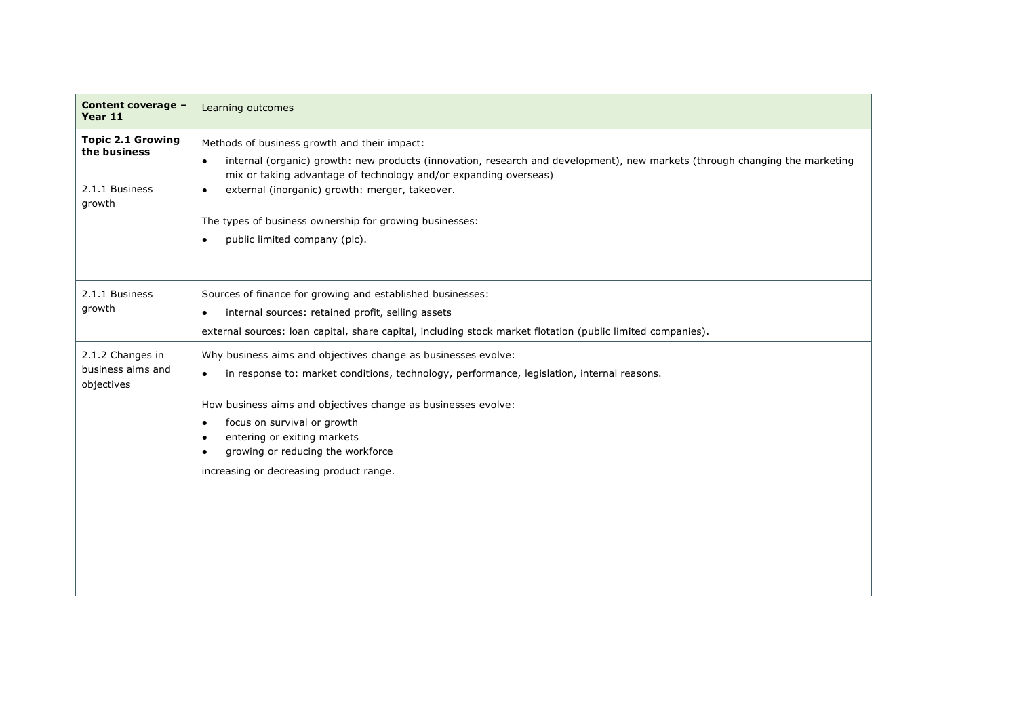| Content coverage -<br>Year 11                                        | Learning outcomes                                                                                                                                                                                                                                                                                                                                                                                          |
|----------------------------------------------------------------------|------------------------------------------------------------------------------------------------------------------------------------------------------------------------------------------------------------------------------------------------------------------------------------------------------------------------------------------------------------------------------------------------------------|
| <b>Topic 2.1 Growing</b><br>the business<br>2.1.1 Business<br>growth | Methods of business growth and their impact:<br>internal (organic) growth: new products (innovation, research and development), new markets (through changing the marketing<br>$\bullet$<br>mix or taking advantage of technology and/or expanding overseas)<br>external (inorganic) growth: merger, takeover.<br>The types of business ownership for growing businesses:<br>public limited company (plc). |
| 2.1.1 Business<br>growth                                             | Sources of finance for growing and established businesses:<br>internal sources: retained profit, selling assets<br>$\bullet$<br>external sources: loan capital, share capital, including stock market flotation (public limited companies).                                                                                                                                                                |
| 2.1.2 Changes in<br>business aims and<br>objectives                  | Why business aims and objectives change as businesses evolve:<br>in response to: market conditions, technology, performance, legislation, internal reasons.<br>$\bullet$<br>How business aims and objectives change as businesses evolve:<br>focus on survival or growth<br>$\bullet$<br>entering or exiting markets<br>growing or reducing the workforce<br>increasing or decreasing product range.       |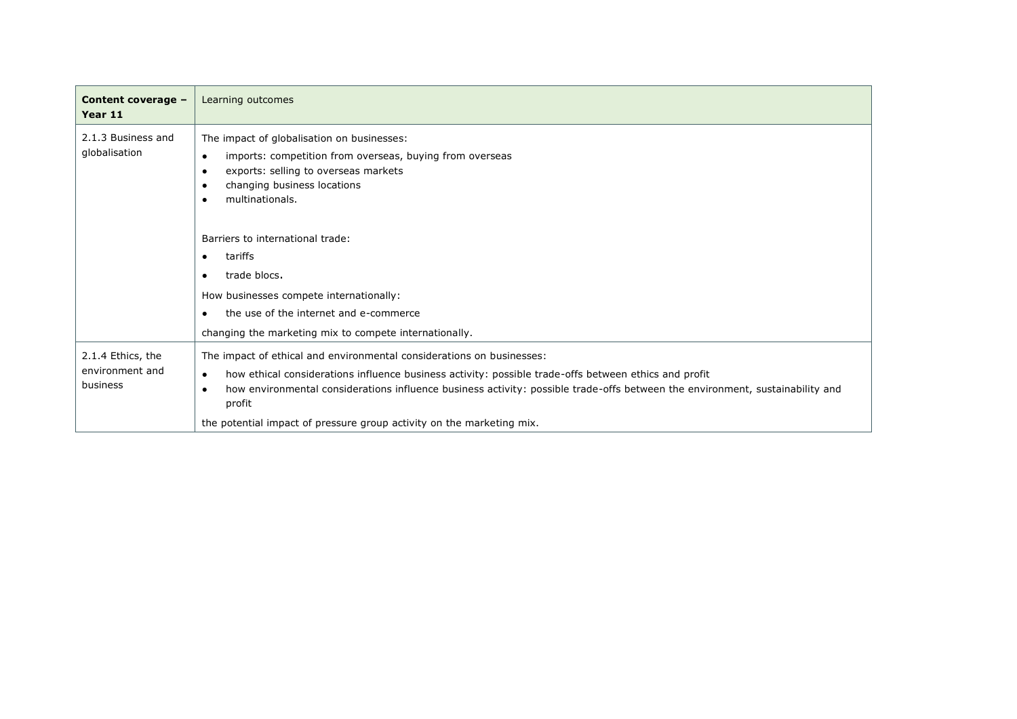| Content coverage -<br>Year 11                    | Learning outcomes                                                                                                                                                                                                                                                                                                                                                                                                    |
|--------------------------------------------------|----------------------------------------------------------------------------------------------------------------------------------------------------------------------------------------------------------------------------------------------------------------------------------------------------------------------------------------------------------------------------------------------------------------------|
| 2.1.3 Business and<br>globalisation              | The impact of globalisation on businesses:<br>imports: competition from overseas, buying from overseas<br>$\bullet$<br>exports: selling to overseas markets<br>٠<br>changing business locations<br>$\bullet$<br>multinationals.                                                                                                                                                                                      |
|                                                  | Barriers to international trade:<br>tariffs<br>$\bullet$<br>trade blocs.<br>How businesses compete internationally:<br>the use of the internet and e-commerce<br>changing the marketing mix to compete internationally.                                                                                                                                                                                              |
| 2.1.4 Ethics, the<br>environment and<br>business | The impact of ethical and environmental considerations on businesses:<br>how ethical considerations influence business activity: possible trade-offs between ethics and profit<br>$\bullet$<br>how environmental considerations influence business activity: possible trade-offs between the environment, sustainability and<br>٠<br>profit<br>the potential impact of pressure group activity on the marketing mix. |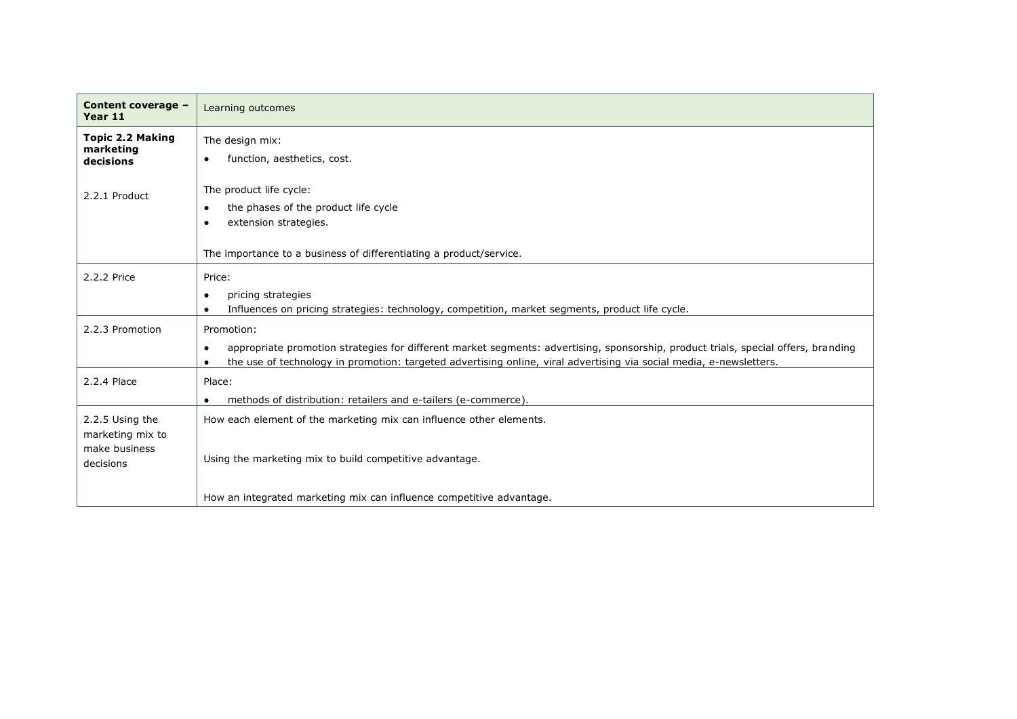| Content coverage -<br>Year 11                                     | Learning outcomes                                                                                                                                                                                                                                                       |
|-------------------------------------------------------------------|-------------------------------------------------------------------------------------------------------------------------------------------------------------------------------------------------------------------------------------------------------------------------|
| <b>Topic 2.2 Making</b><br>marketing<br>decisions                 | The design mix:<br>function, aesthetics, cost.                                                                                                                                                                                                                          |
| 2.2.1 Product                                                     | The product life cycle:<br>the phases of the product life cycle<br>extension strategies.<br>The importance to a business of differentiating a product/service.                                                                                                          |
| 2.2.2 Price                                                       | Price:<br>pricing strategies<br>$\bullet$<br>Influences on pricing strategies: technology, competition, market segments, product life cycle.                                                                                                                            |
| 2.2.3 Promotion                                                   | Promotion:<br>appropriate promotion strategies for different market segments: advertising, sponsorship, product trials, special offers, branding<br>the use of technology in promotion: targeted advertising online, viral advertising via social media, e-newsletters. |
| 2.2.4 Place                                                       | Place:<br>methods of distribution: retailers and e-tailers (e-commerce).                                                                                                                                                                                                |
| 2.2.5 Using the<br>marketing mix to<br>make business<br>decisions | How each element of the marketing mix can influence other elements.<br>Using the marketing mix to build competitive advantage.                                                                                                                                          |
|                                                                   | How an integrated marketing mix can influence competitive advantage.                                                                                                                                                                                                    |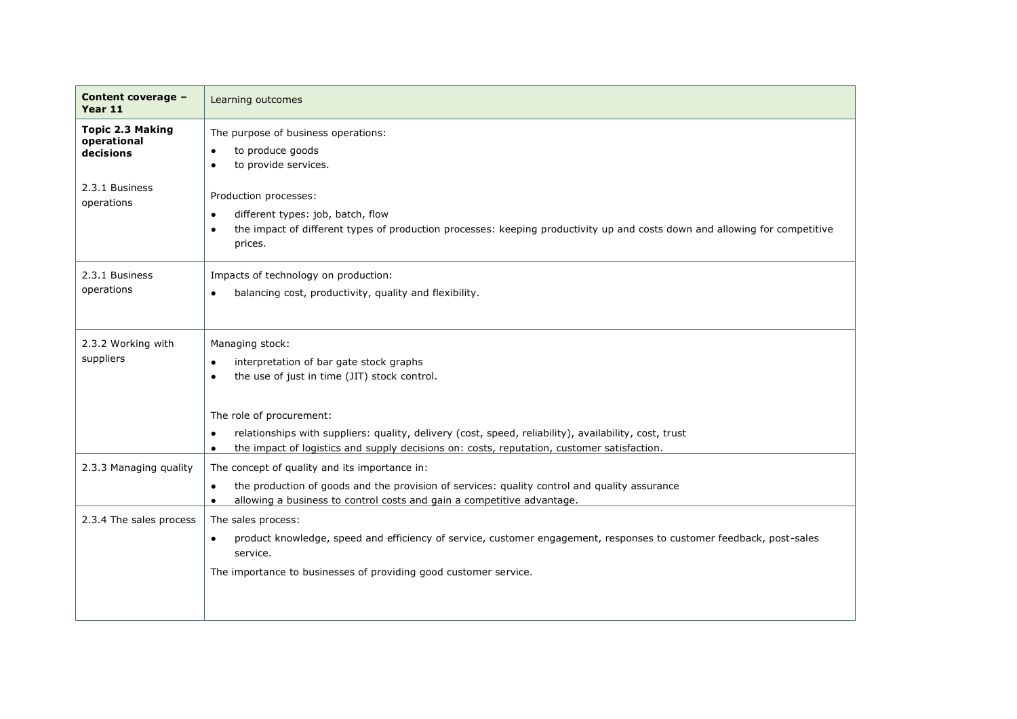| Content coverage -<br>Year 11                       | Learning outcomes                                                                                                                                                                                                                                                                                                                                                                                 |
|-----------------------------------------------------|---------------------------------------------------------------------------------------------------------------------------------------------------------------------------------------------------------------------------------------------------------------------------------------------------------------------------------------------------------------------------------------------------|
| <b>Topic 2.3 Making</b><br>operational<br>decisions | The purpose of business operations:<br>to produce goods<br>to provide services.                                                                                                                                                                                                                                                                                                                   |
| 2.3.1 Business<br>operations                        | Production processes:<br>different types: job, batch, flow<br>$\bullet$<br>the impact of different types of production processes: keeping productivity up and costs down and allowing for competitive<br>prices.                                                                                                                                                                                  |
| 2.3.1 Business<br>operations                        | Impacts of technology on production:<br>balancing cost, productivity, quality and flexibility.                                                                                                                                                                                                                                                                                                    |
| 2.3.2 Working with<br>suppliers                     | Managing stock:<br>interpretation of bar gate stock graphs<br>$\bullet$<br>the use of just in time (JIT) stock control.<br>$\bullet$<br>The role of procurement:<br>relationships with suppliers: quality, delivery (cost, speed, reliability), availability, cost, trust<br>$\bullet$<br>the impact of logistics and supply decisions on: costs, reputation, customer satisfaction.<br>$\bullet$ |
| 2.3.3 Managing quality                              | The concept of quality and its importance in:<br>the production of goods and the provision of services: quality control and quality assurance<br>$\bullet$<br>allowing a business to control costs and gain a competitive advantage.                                                                                                                                                              |
| 2.3.4 The sales process                             | The sales process:<br>product knowledge, speed and efficiency of service, customer engagement, responses to customer feedback, post-sales<br>service.<br>The importance to businesses of providing good customer service.                                                                                                                                                                         |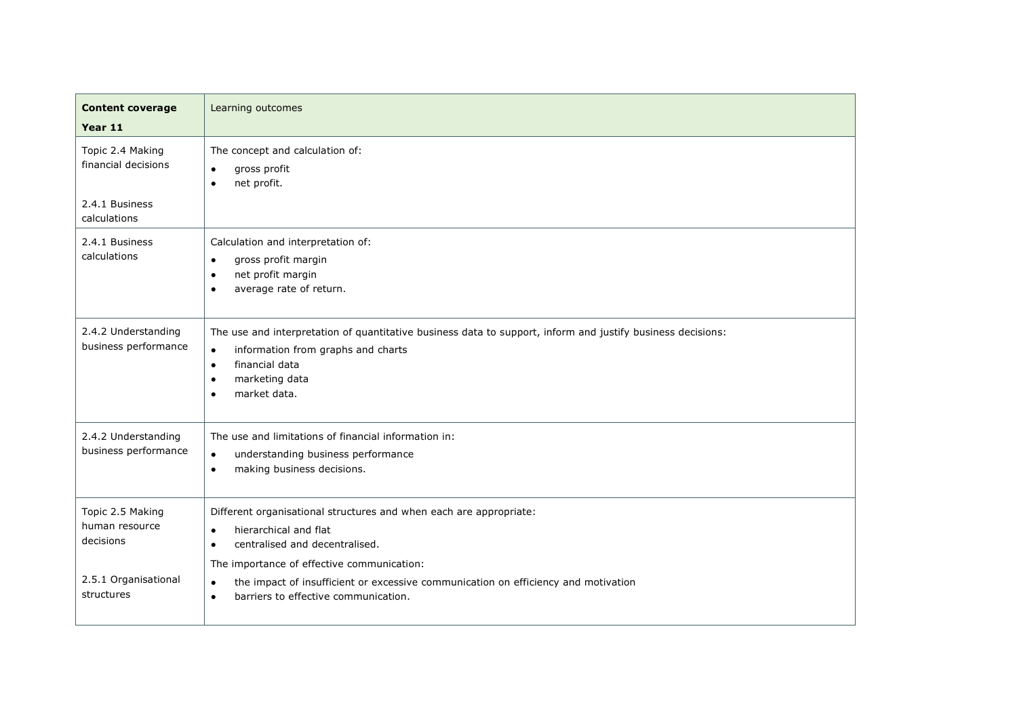| <b>Content coverage</b><br>Year 11              | Learning outcomes                                                                                                                                                                                                                                         |
|-------------------------------------------------|-----------------------------------------------------------------------------------------------------------------------------------------------------------------------------------------------------------------------------------------------------------|
| Topic 2.4 Making<br>financial decisions         | The concept and calculation of:<br>gross profit<br>$\bullet$<br>net profit.                                                                                                                                                                               |
| 2.4.1 Business<br>calculations                  |                                                                                                                                                                                                                                                           |
| 2.4.1 Business<br>calculations                  | Calculation and interpretation of:<br>gross profit margin<br>$\bullet$<br>net profit margin<br>$\bullet$<br>average rate of return.<br>$\bullet$                                                                                                          |
| 2.4.2 Understanding<br>business performance     | The use and interpretation of quantitative business data to support, inform and justify business decisions:<br>information from graphs and charts<br>$\bullet$<br>financial data<br>$\bullet$<br>marketing data<br>$\bullet$<br>market data.<br>$\bullet$ |
| 2.4.2 Understanding<br>business performance     | The use and limitations of financial information in:<br>understanding business performance<br>$\bullet$<br>making business decisions.<br>$\bullet$                                                                                                        |
| Topic 2.5 Making<br>human resource<br>decisions | Different organisational structures and when each are appropriate:<br>hierarchical and flat<br>$\bullet$<br>centralised and decentralised.<br>$\bullet$<br>The importance of effective communication:                                                     |
| 2.5.1 Organisational<br>structures              | the impact of insufficient or excessive communication on efficiency and motivation<br>$\bullet$<br>barriers to effective communication.                                                                                                                   |